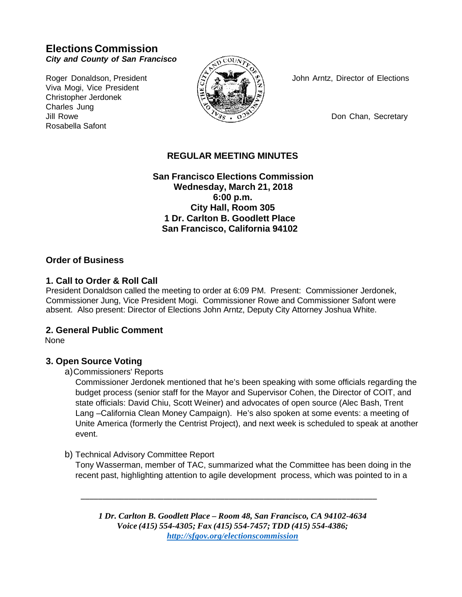# **Elections Commission** *City and County of San Francisco*

Viva Mogi, Vice President Christopher Jerdonek Charles Jung Jill Rowe Don Chan, Secretary Rosabella Safont



Roger Donaldson, President  $\langle 5 \rangle / 3$   $\langle 6 \rangle$  John Arntz, Director of Elections

## **REGULAR MEETING MINUTES**

**San Francisco Elections Commission Wednesday, March 21, 2018 6:00 p.m. City Hall, Room 305 1 Dr. Carlton B. Goodlett Place San Francisco, California 94102**

### **Order of Business**

### **1. Call to Order & Roll Call**

President Donaldson called the meeting to order at 6:09 PM. Present: Commissioner Jerdonek, Commissioner Jung, Vice President Mogi. Commissioner Rowe and Commissioner Safont were absent. Also present: Director of Elections John Arntz, Deputy City Attorney Joshua White.

#### **2. General Public Comment**

None

### **3. Open Source Voting**

#### a)Commissioners' Reports

Commissioner Jerdonek mentioned that he's been speaking with some officials regarding the budget process (senior staff for the Mayor and Supervisor Cohen, the Director of COIT, and state officials: David Chiu, Scott Weiner) and advocates of open source (Alec Bash, Trent Lang –California Clean Money Campaign). He's also spoken at some events: a meeting of Unite America (formerly the Centrist Project), and next week is scheduled to speak at another event.

#### b) Technical Advisory Committee Report

Tony Wasserman, member of TAC, summarized what the Committee has been doing in the recent past, highlighting attention to agile development process, which was pointed to in a

*1 Dr. Carlton B. Goodlett Place – Room 48, San Francisco, CA 94102-4634 Voice (415) 554-4305; Fax (415) 554-7457; TDD (415) 554-4386; <http://sfgov.org/electionscommission>*

**\_\_\_\_\_\_\_\_\_\_\_\_\_\_\_\_\_\_\_\_\_\_\_\_\_\_\_\_\_\_\_\_\_\_\_\_\_\_\_\_\_\_\_\_\_\_\_\_\_\_\_\_\_\_\_\_\_\_\_\_\_\_\_\_\_\_\_\_**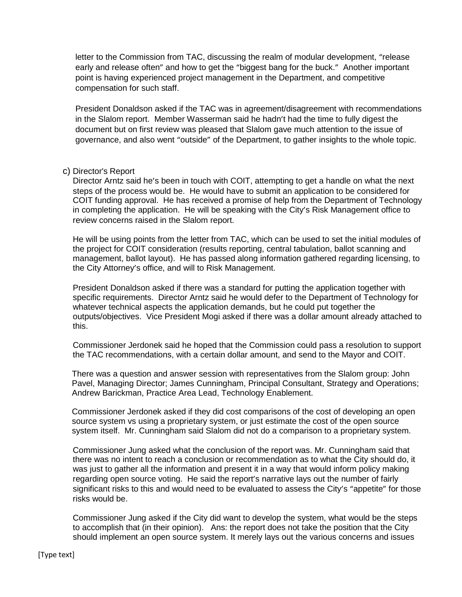letter to the Commission from TAC, discussing the realm of modular development, "release early and release often" and how to get the "biggest bang for the buck." Another important point is having experienced project management in the Department, and competitive compensation for such staff.

President Donaldson asked if the TAC was in agreement/disagreement with recommendations in the Slalom report. Member Wasserman said he hadn't had the time to fully digest the document but on first review was pleased that Slalom gave much attention to the issue of governance, and also went "outside" of the Department, to gather insights to the whole topic.

### c) Director's Report

Director Arntz said he's been in touch with COIT, attempting to get a handle on what the next steps of the process would be. He would have to submit an application to be considered for COIT funding approval. He has received a promise of help from the Department of Technology in completing the application. He will be speaking with the City's Risk Management office to review concerns raised in the Slalom report.

He will be using points from the letter from TAC, which can be used to set the initial modules of the project for COIT consideration (results reporting, central tabulation, ballot scanning and management, ballot layout). He has passed along information gathered regarding licensing, to the City Attorney's office, and will to Risk Management.

President Donaldson asked if there was a standard for putting the application together with specific requirements. Director Arntz said he would defer to the Department of Technology for whatever technical aspects the application demands, but he could put together the outputs/objectives. Vice President Mogi asked if there was a dollar amount already attached to this.

Commissioner Jerdonek said he hoped that the Commission could pass a resolution to support the TAC recommendations, with a certain dollar amount, and send to the Mayor and COIT.

There was a question and answer session with representatives from the Slalom group: John Pavel, Managing Director; James Cunningham, Principal Consultant, Strategy and Operations; Andrew Barickman, Practice Area Lead, Technology Enablement.

Commissioner Jerdonek asked if they did cost comparisons of the cost of developing an open source system vs using a proprietary system, or just estimate the cost of the open source system itself. Mr. Cunningham said Slalom did not do a comparison to a proprietary system.

Commissioner Jung asked what the conclusion of the report was. Mr. Cunningham said that there was no intent to reach a conclusion or recommendation as to what the City should do, it was just to gather all the information and present it in a way that would inform policy making regarding open source voting. He said the report's narrative lays out the number of fairly significant risks to this and would need to be evaluated to assess the City's "appetite" for those risks would be.

Commissioner Jung asked if the City did want to develop the system, what would be the steps to accomplish that (in their opinion). Ans: the report does not take the position that the City should implement an open source system. It merely lays out the various concerns and issues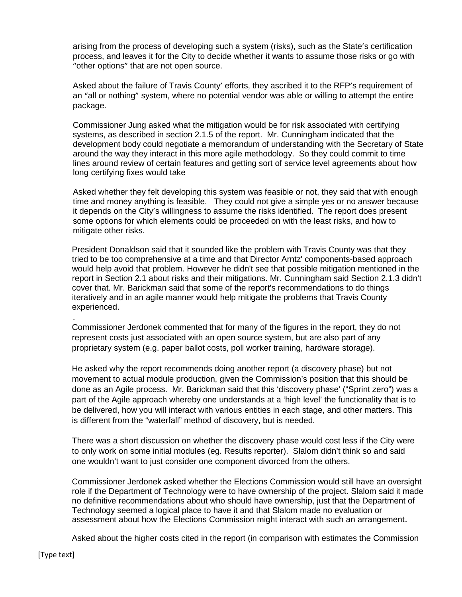arising from the process of developing such a system (risks), such as the State's certification process, and leaves it for the City to decide whether it wants to assume those risks or go with "other options" that are not open source.

Asked about the failure of Travis County' efforts, they ascribed it to the RFP's requirement of an "all or nothing" system, where no potential vendor was able or willing to attempt the entire package.

Commissioner Jung asked what the mitigation would be for risk associated with certifying systems, as described in section 2.1.5 of the report. Mr. Cunningham indicated that the development body could negotiate a memorandum of understanding with the Secretary of State around the way they interact in this more agile methodology. So they could commit to time lines around review of certain features and getting sort of service level agreements about how long certifying fixes would take

Asked whether they felt developing this system was feasible or not, they said that with enough time and money anything is feasible. They could not give a simple yes or no answer because it depends on the City's willingness to assume the risks identified. The report does present some options for which elements could be proceeded on with the least risks, and how to mitigate other risks.

President Donaldson said that it sounded like the problem with Travis County was that they tried to be too comprehensive at a time and that Director Arntz' components-based approach would help avoid that problem. However he didn't see that possible mitigation mentioned in the report in Section 2.1 about risks and their mitigations. Mr. Cunningham said Section 2.1.3 didn't cover that. Mr. Barickman said that some of the report's recommendations to do things iteratively and in an agile manner would help mitigate the problems that Travis County experienced.

Commissioner Jerdonek commented that for many of the figures in the report, they do not represent costs just associated with an open source system, but are also part of any proprietary system (e.g. paper ballot costs, poll worker training, hardware storage).

He asked why the report recommends doing another report (a discovery phase) but not movement to actual module production, given the Commission's position that this should be done as an Agile process. Mr. Barickman said that this 'discovery phase' ("Sprint zero") was a part of the Agile approach whereby one understands at a 'high level' the functionality that is to be delivered, how you will interact with various entities in each stage, and other matters. This is different from the "waterfall" method of discovery, but is needed.

There was a short discussion on whether the discovery phase would cost less if the City were to only work on some initial modules (eg. Results reporter). Slalom didn't think so and said one wouldn't want to just consider one component divorced from the others.

Commissioner Jerdonek asked whether the Elections Commission would still have an oversight role if the Department of Technology were to have ownership of the project. Slalom said it made no definitive recommendations about who should have ownership, just that the Department of Technology seemed a logical place to have it and that Slalom made no evaluation or assessment about how the Elections Commission might interact with such an arrangement.

Asked about the higher costs cited in the report (in comparison with estimates the Commission

.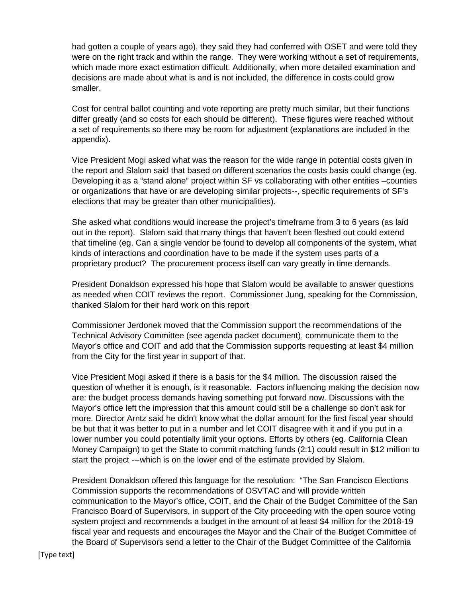had gotten a couple of years ago), they said they had conferred with OSET and were told they were on the right track and within the range. They were working without a set of requirements, which made more exact estimation difficult. Additionally, when more detailed examination and decisions are made about what is and is not included, the difference in costs could grow smaller.

Cost for central ballot counting and vote reporting are pretty much similar, but their functions differ greatly (and so costs for each should be different). These figures were reached without a set of requirements so there may be room for adjustment (explanations are included in the appendix).

Vice President Mogi asked what was the reason for the wide range in potential costs given in the report and Slalom said that based on different scenarios the costs basis could change (eg. Developing it as a "stand alone" project within SF vs collaborating with other entities –counties or organizations that have or are developing similar projects--, specific requirements of SF's elections that may be greater than other municipalities).

She asked what conditions would increase the project's timeframe from 3 to 6 years (as laid out in the report). Slalom said that many things that haven't been fleshed out could extend that timeline (eg. Can a single vendor be found to develop all components of the system, what kinds of interactions and coordination have to be made if the system uses parts of a proprietary product? The procurement process itself can vary greatly in time demands.

President Donaldson expressed his hope that Slalom would be available to answer questions as needed when COIT reviews the report. Commissioner Jung, speaking for the Commission, thanked Slalom for their hard work on this report

Commissioner Jerdonek moved that the Commission support the recommendations of the Technical Advisory Committee (see agenda packet document), communicate them to the Mayor's office and COIT and add that the Commission supports requesting at least \$4 million from the City for the first year in support of that.

Vice President Mogi asked if there is a basis for the \$4 million. The discussion raised the question of whether it is enough, is it reasonable. Factors influencing making the decision now are: the budget process demands having something put forward now. Discussions with the Mayor's office left the impression that this amount could still be a challenge so don't ask for more. Director Arntz said he didn't know what the dollar amount for the first fiscal year should be but that it was better to put in a number and let COIT disagree with it and if you put in a lower number you could potentially limit your options. Efforts by others (eg. California Clean Money Campaign) to get the State to commit matching funds (2:1) could result in \$12 million to start the project ---which is on the lower end of the estimate provided by Slalom.

President Donaldson offered this language for the resolution: "The San Francisco Elections Commission supports the recommendations of OSVTAC and will provide written communication to the Mayor's office, COIT, and the Chair of the Budget Committee of the San Francisco Board of Supervisors, in support of the City proceeding with the open source voting system project and recommends a budget in the amount of at least \$4 million for the 2018-19 fiscal year and requests and encourages the Mayor and the Chair of the Budget Committee of the Board of Supervisors send a letter to the Chair of the Budget Committee of the California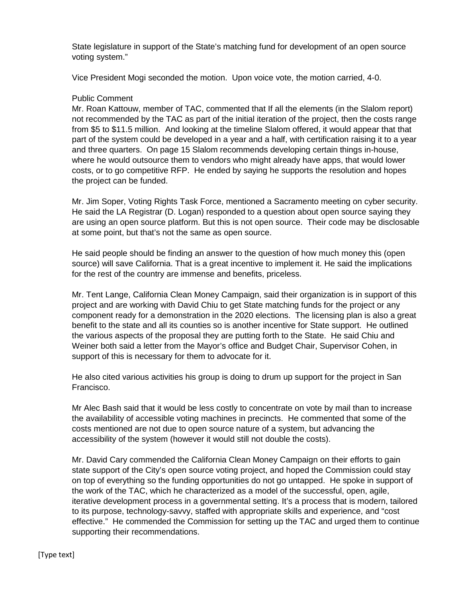State legislature in support of the State's matching fund for development of an open source voting system."

Vice President Mogi seconded the motion. Upon voice vote, the motion carried, 4-0.

#### Public Comment

Mr. Roan Kattouw, member of TAC, commented that If all the elements (in the Slalom report) not recommended by the TAC as part of the initial iteration of the project, then the costs range from \$5 to \$11.5 million. And looking at the timeline Slalom offered, it would appear that that part of the system could be developed in a year and a half, with certification raising it to a year and three quarters. On page 15 Slalom recommends developing certain things in-house, where he would outsource them to vendors who might already have apps, that would lower costs, or to go competitive RFP. He ended by saying he supports the resolution and hopes the project can be funded.

Mr. Jim Soper, Voting Rights Task Force, mentioned a Sacramento meeting on cyber security. He said the LA Registrar (D. Logan) responded to a question about open source saying they are using an open source platform. But this is not open source. Their code may be disclosable at some point, but that's not the same as open source.

He said people should be finding an answer to the question of how much money this (open source) will save California. That is a great incentive to implement it. He said the implications for the rest of the country are immense and benefits, priceless.

Mr. Tent Lange, California Clean Money Campaign, said their organization is in support of this project and are working with David Chiu to get State matching funds for the project or any component ready for a demonstration in the 2020 elections. The licensing plan is also a great benefit to the state and all its counties so is another incentive for State support. He outlined the various aspects of the proposal they are putting forth to the State. He said Chiu and Weiner both said a letter from the Mayor's office and Budget Chair, Supervisor Cohen, in support of this is necessary for them to advocate for it.

He also cited various activities his group is doing to drum up support for the project in San Francisco.

Mr Alec Bash said that it would be less costly to concentrate on vote by mail than to increase the availability of accessible voting machines in precincts. He commented that some of the costs mentioned are not due to open source nature of a system, but advancing the accessibility of the system (however it would still not double the costs).

Mr. David Cary commended the California Clean Money Campaign on their efforts to gain state support of the City's open source voting project, and hoped the Commission could stay on top of everything so the funding opportunities do not go untapped. He spoke in support of the work of the TAC, which he characterized as a model of the successful, open, agile, iterative development process in a governmental setting. It's a process that is modern, tailored to its purpose, technology-savvy, staffed with appropriate skills and experience, and "cost effective." He commended the Commission for setting up the TAC and urged them to continue supporting their recommendations.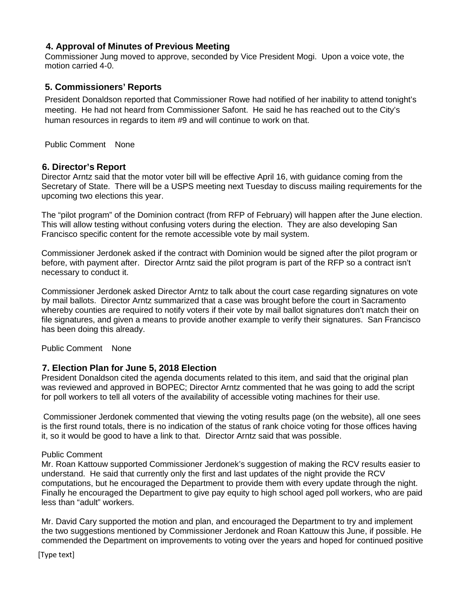## **4. Approval of Minutes of Previous Meeting**

Commissioner Jung moved to approve, seconded by Vice President Mogi. Upon a voice vote, the motion carried 4-0.

## **5. Commissioners' Reports**

President Donaldson reported that Commissioner Rowe had notified of her inability to attend tonight's meeting. He had not heard from Commissioner Safont. He said he has reached out to the City's human resources in regards to item #9 and will continue to work on that.

Public Comment None

## **6. Director's Report**

Director Arntz said that the motor voter bill will be effective April 16, with guidance coming from the Secretary of State. There will be a USPS meeting next Tuesday to discuss mailing requirements for the upcoming two elections this year.

The "pilot program" of the Dominion contract (from RFP of February) will happen after the June election. This will allow testing without confusing voters during the election. They are also developing San Francisco specific content for the remote accessible vote by mail system.

Commissioner Jerdonek asked if the contract with Dominion would be signed after the pilot program or before, with payment after. Director Arntz said the pilot program is part of the RFP so a contract isn't necessary to conduct it.

Commissioner Jerdonek asked Director Arntz to talk about the court case regarding signatures on vote by mail ballots. Director Arntz summarized that a case was brought before the court in Sacramento whereby counties are required to notify voters if their vote by mail ballot signatures don't match their on file signatures, and given a means to provide another example to verify their signatures. San Francisco has been doing this already.

Public Comment None

## **7. Election Plan for June 5, 2018 Election**

President Donaldson cited the agenda documents related to this item, and said that the original plan was reviewed and approved in BOPEC; Director Arntz commented that he was going to add the script for poll workers to tell all voters of the availability of accessible voting machines for their use.

Commissioner Jerdonek commented that viewing the voting results page (on the website), all one sees is the first round totals, there is no indication of the status of rank choice voting for those offices having it, so it would be good to have a link to that. Director Arntz said that was possible.

### Public Comment

Mr. Roan Kattouw supported Commissioner Jerdonek's suggestion of making the RCV results easier to understand. He said that currently only the first and last updates of the night provide the RCV computations, but he encouraged the Department to provide them with every update through the night. Finally he encouraged the Department to give pay equity to high school aged poll workers, who are paid less than "adult" workers.

Mr. David Cary supported the motion and plan, and encouraged the Department to try and implement the two suggestions mentioned by Commissioner Jerdonek and Roan Kattouw this June, if possible. He commended the Department on improvements to voting over the years and hoped for continued positive

[Type text]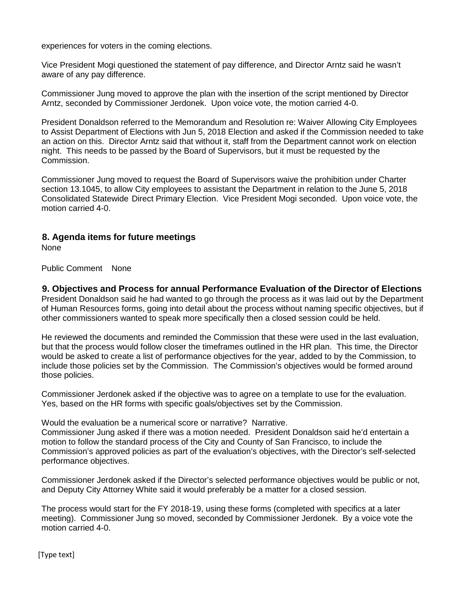experiences for voters in the coming elections.

Vice President Mogi questioned the statement of pay difference, and Director Arntz said he wasn't aware of any pay difference.

Commissioner Jung moved to approve the plan with the insertion of the script mentioned by Director Arntz, seconded by Commissioner Jerdonek. Upon voice vote, the motion carried 4-0.

President Donaldson referred to the Memorandum and Resolution re: Waiver Allowing City Employees to Assist Department of Elections with Jun 5, 2018 Election and asked if the Commission needed to take an action on this. Director Arntz said that without it, staff from the Department cannot work on election night. This needs to be passed by the Board of Supervisors, but it must be requested by the Commission.

Commissioner Jung moved to request the Board of Supervisors waive the prohibition under Charter section 13.1045, to allow City employees to assistant the Department in relation to the June 5, 2018 Consolidated Statewide Direct Primary Election. Vice President Mogi seconded. Upon voice vote, the motion carried 4-0.

#### **8. Agenda items for future meetings** None

Public Comment None

**9. Objectives and Process for annual Performance Evaluation of the Director of Elections**  President Donaldson said he had wanted to go through the process as it was laid out by the Department of Human Resources forms, going into detail about the process without naming specific objectives, but if other commissioners wanted to speak more specifically then a closed session could be held.

He reviewed the documents and reminded the Commission that these were used in the last evaluation, but that the process would follow closer the timeframes outlined in the HR plan. This time, the Director would be asked to create a list of performance objectives for the year, added to by the Commission, to include those policies set by the Commission. The Commission's objectives would be formed around those policies.

Commissioner Jerdonek asked if the objective was to agree on a template to use for the evaluation. Yes, based on the HR forms with specific goals/objectives set by the Commission.

Would the evaluation be a numerical score or narrative? Narrative.

Commissioner Jung asked if there was a motion needed. President Donaldson said he'd entertain a motion to follow the standard process of the City and County of San Francisco, to include the Commission's approved policies as part of the evaluation's objectives, with the Director's self-selected performance objectives.

Commissioner Jerdonek asked if the Director's selected performance objectives would be public or not, and Deputy City Attorney White said it would preferably be a matter for a closed session.

The process would start for the FY 2018-19, using these forms (completed with specifics at a later meeting). Commissioner Jung so moved, seconded by Commissioner Jerdonek. By a voice vote the motion carried 4-0.

[Type text]